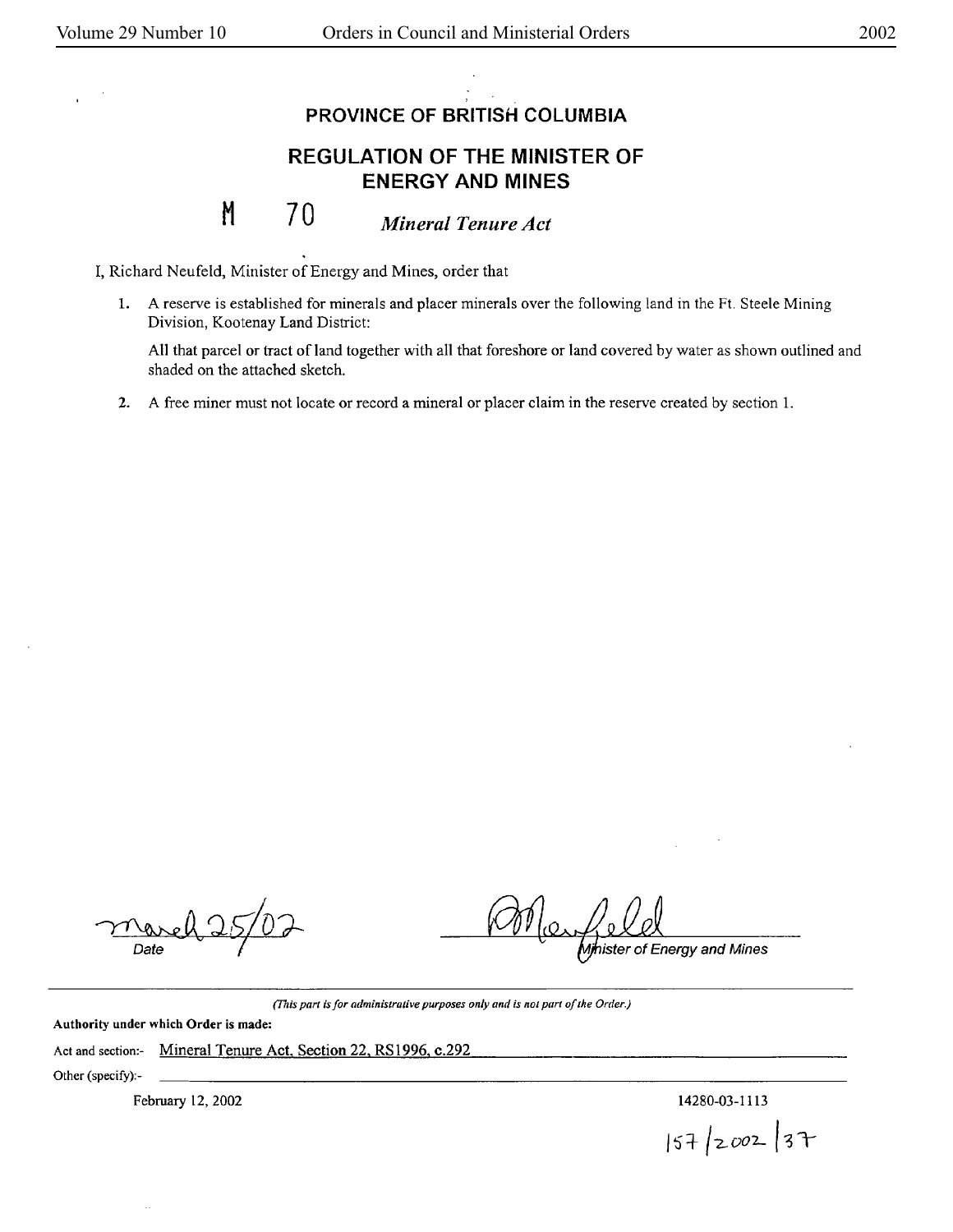## **PROVINCE OF BRITISH COLUMBIA**

## **REGULATION OF THE MINISTER OF ENERGY AND MINES**

## **M**  70 *Mineral Tenure Act*

I, Richard Neufeld, Minister of Energy and Mines, order that

1. A reserve is established for minerals and placer minerals over the following land in the Ft. Steele Mining Division, Kootenay Land District:

All that parcel or tract of land together with all that foreshore or land covered by water as shown outlined and shaded on the attached sketch.

**2.** A free miner must not locate or record a mineral or placer claim in the reserve created by section 1.

Date

Ajhister of Energy and Mines

*(This part is for administrative purposes only and is not part of the Order.)* 

**Authority under which Order is made:** 

Act and section:- Mineral Tenure Act, Section 22, RS1996, c.292

Other (specify):-

February 12, 2002 14280-03-1113

 $|57|$  2002 37